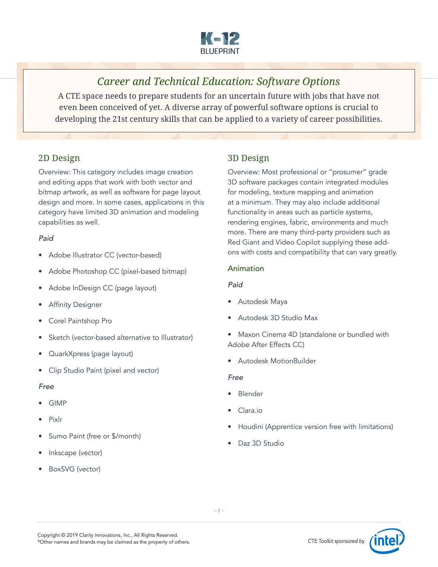

# *Career and Technical Education: Software Options*

A CTE space needs to prepare students for an uncertain future with jobs that have not even been conceived of yet. A diverse array of powerful software options is crucial to developing the 21st century skills that can be applied to a variety of career possibilities.

### 2D Design

Overview: This category includes image creation and editing apps that work with both vector and bitmap artwork, as well as software for page layout design and more. In some cases, applications in this category have limited 3D animation and modeling capabilities as well.

#### *Paid*

- Adobe Illustrator CC (vector-based)
- Adobe Photoshop CC (pixel-based bitmap)
- Adobe InDesign CC (page layout)
- **Affinity Designer**
- Corel Paintshop Pro
- Sketch (vector-based alternative to Illustrator)
- QuarkXpress (page layout)
- Clip Studio Paint (pixel and vector)

#### *Free*

- GIMP
- Pixlr
- Sumo Paint (free or \$/month)
- Inkscape (vector)
- BoxSVG (vector)

### 3D Design

Overview: Most professional or "prosumer" grade 3D software packages contain integrated modules for modeling, texture mapping and animation at a minimum. They may also include additional functionality in areas such as particle systems, rendering engines, fabric, environments and much more. There are many third-party providers such as Red Giant and Video Copilot supplying these addons with costs and compatibility that can vary greatly.

#### Animation

#### *Paid*

- Autodesk Maya
- Autodesk 3D Studio Max
- Maxon Cinema 4D (standalone or bundled with Adobe After Effects CC)
- Autodesk MotionBuilder

- Blender
- Clara.io
- Houdini (Apprentice version free with limitations)
- Daz 3D Studio

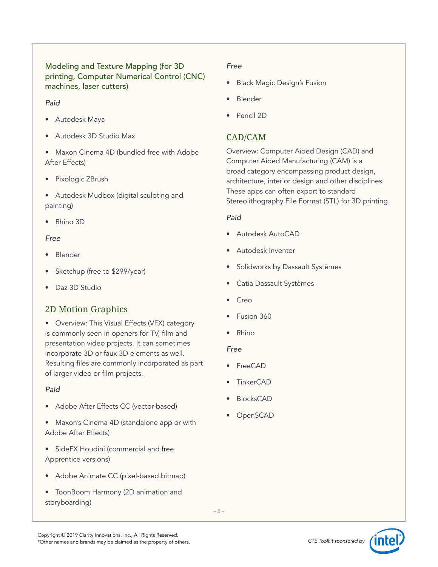### Modeling and Texture Mapping (for 3D printing, Computer Numerical Control (CNC) machines, laser cutters)

#### *Paid*

- Autodesk Maya
- Autodesk 3D Studio Max
- Maxon Cinema 4D (bundled free with Adobe After Effects)
- Pixologic ZBrush
- Autodesk Mudbox (digital sculpting and painting)
- Rhino 3D

### *Free*

- Blender
- Sketchup (free to \$299/year)
- Daz 3D Studio

## 2D Motion Graphics

• Overview: This Visual Effects (VFX) category is commonly seen in openers for TV, film and presentation video projects. It can sometimes incorporate 3D or faux 3D elements as well. Resulting files are commonly incorporated as part of larger video or film projects.

### *Paid*

- Adobe After Effects CC (vector-based)
- Maxon's Cinema 4D (standalone app or with Adobe After Effects)
- SideFX Houdini (commercial and free Apprentice versions)
- Adobe Animate CC (pixel-based bitmap)
- ToonBoom Harmony (2D animation and storyboarding)

### *Free*

- Black Magic Design's Fusion
- Blender
- Pencil 2D

## CAD/CAM

Overview: Computer Aided Design (CAD) and Computer Aided Manufacturing (CAM) is a broad category encompassing product design, architecture, interior design and other disciplines. These apps can often export to standard Stereolithography File Format (STL) for 3D printing.

### *Paid*

- Autodesk AutoCAD
- Autodesk Inventor
- Solidworks by Dassault Systèmes
- Catia Dassault Systèmes
- Creo
- Fusion 360
- Rhino

- FreeCAD
- **TinkerCAD**
- BlocksCAD
- OpenSCAD

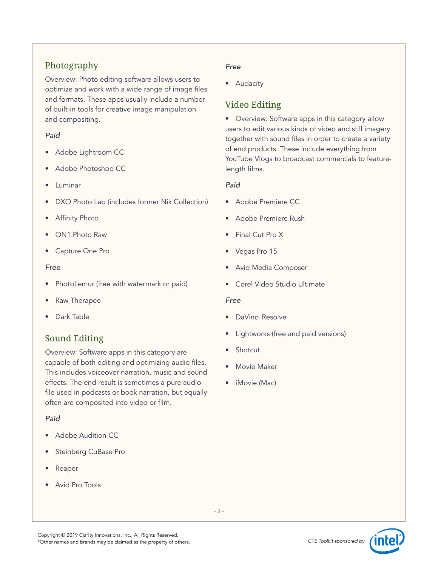## Photography

Overview: Photo editing software allows users to optimize and work with a wide range of image files and formats. These apps usually include a number of built-in tools for creative image manipulation and compositing.

#### *Paid*

- Adobe Lightroom CC
- Adobe Photoshop CC
- Luminar
- DXO Photo Lab (includes former Nik Collection)
- Affinity Photo
- ON1 Photo Raw
- Capture One Pro

#### *Free*

- PhotoLemur (free with watermark or paid)
- Raw Therapee
- Dark Table

## Sound Editing

Overview: Software apps in this category are capable of both editing and optimizing audio files. This includes voiceover narration, music and sound effects. The end result is sometimes a pure audio file used in podcasts or book narration, but equally often are composited into video or film.

### *Paid*

- **Adobe Audition CC**
- Steinberg CuBase Pro
- Reaper
- Avid Pro Tools

#### *Free*

• Audacity

## Video Editing

• Overview: Software apps in this category allow users to edit various kinds of video and still imagery together with sound files in order to create a variety of end products. These include everything from YouTube Vlogs to broadcast commercials to featurelength films.

#### *Paid*

- Adobe Premiere CC
- Adobe Premiere Rush
- Final Cut Pro X
- Vegas Pro 15
- Avid Media Composer
- Corel Video Studio Ultimate

- DaVinci Resolve
- Lightworks (free and paid versions)
- **Shotcut**
- Movie Maker
- iMovie (Mac)